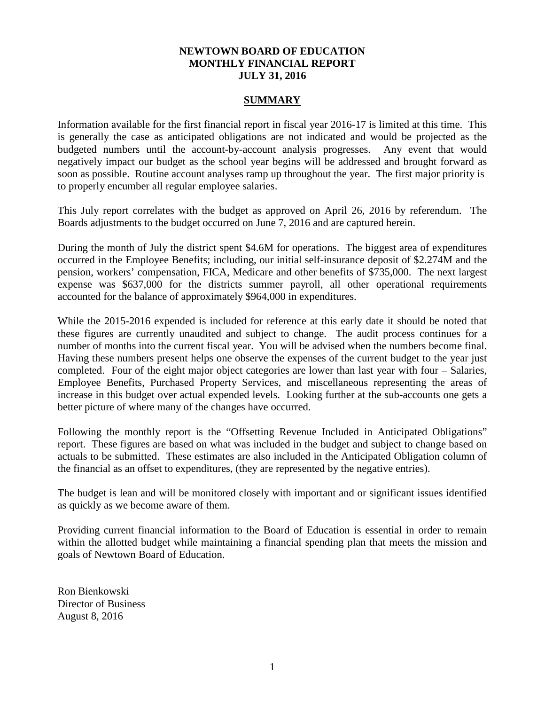## **NEWTOWN BOARD OF EDUCATION MONTHLY FINANCIAL REPORT JULY 31, 2016**

## **SUMMARY**

Information available for the first financial report in fiscal year 2016-17 is limited at this time. This is generally the case as anticipated obligations are not indicated and would be projected as the budgeted numbers until the account-by-account analysis progresses. Any event that would negatively impact our budget as the school year begins will be addressed and brought forward as soon as possible. Routine account analyses ramp up throughout the year. The first major priority is to properly encumber all regular employee salaries.

This July report correlates with the budget as approved on April 26, 2016 by referendum. The Boards adjustments to the budget occurred on June 7, 2016 and are captured herein.

During the month of July the district spent \$4.6M for operations. The biggest area of expenditures occurred in the Employee Benefits; including, our initial self-insurance deposit of \$2.274M and the pension, workers' compensation, FICA, Medicare and other benefits of \$735,000. The next largest expense was \$637,000 for the districts summer payroll, all other operational requirements accounted for the balance of approximately \$964,000 in expenditures.

While the 2015-2016 expended is included for reference at this early date it should be noted that these figures are currently unaudited and subject to change. The audit process continues for a number of months into the current fiscal year. You will be advised when the numbers become final. Having these numbers present helps one observe the expenses of the current budget to the year just completed. Four of the eight major object categories are lower than last year with four – Salaries, Employee Benefits, Purchased Property Services, and miscellaneous representing the areas of increase in this budget over actual expended levels. Looking further at the sub-accounts one gets a better picture of where many of the changes have occurred.

Following the monthly report is the "Offsetting Revenue Included in Anticipated Obligations" report. These figures are based on what was included in the budget and subject to change based on actuals to be submitted. These estimates are also included in the Anticipated Obligation column of the financial as an offset to expenditures, (they are represented by the negative entries).

The budget is lean and will be monitored closely with important and or significant issues identified as quickly as we become aware of them.

Providing current financial information to the Board of Education is essential in order to remain within the allotted budget while maintaining a financial spending plan that meets the mission and goals of Newtown Board of Education.

Ron Bienkowski Director of Business August 8, 2016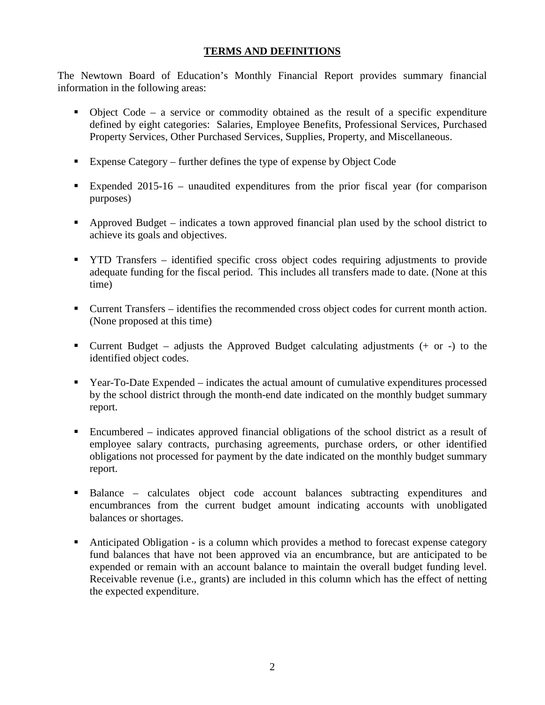# **TERMS AND DEFINITIONS**

The Newtown Board of Education's Monthly Financial Report provides summary financial information in the following areas:

- $\bullet$  Object Code a service or commodity obtained as the result of a specific expenditure defined by eight categories: Salaries, Employee Benefits, Professional Services, Purchased Property Services, Other Purchased Services, Supplies, Property, and Miscellaneous.
- Expense Category further defines the type of expense by Object Code
- Expended 2015-16 unaudited expenditures from the prior fiscal year (for comparison purposes)
- Approved Budget indicates a town approved financial plan used by the school district to achieve its goals and objectives.
- **THE TRANSFER** identified specific cross object codes requiring adjustments to provide adequate funding for the fiscal period. This includes all transfers made to date. (None at this time)
- Current Transfers identifies the recommended cross object codes for current month action. (None proposed at this time)
- **Current Budget** adjusts the Approved Budget calculating adjustments  $(+)$  or  $-)$  to the identified object codes.
- Year-To-Date Expended indicates the actual amount of cumulative expenditures processed by the school district through the month-end date indicated on the monthly budget summary report.
- Encumbered indicates approved financial obligations of the school district as a result of employee salary contracts, purchasing agreements, purchase orders, or other identified obligations not processed for payment by the date indicated on the monthly budget summary report.
- Balance calculates object code account balances subtracting expenditures and encumbrances from the current budget amount indicating accounts with unobligated balances or shortages.
- Anticipated Obligation is a column which provides a method to forecast expense category fund balances that have not been approved via an encumbrance, but are anticipated to be expended or remain with an account balance to maintain the overall budget funding level. Receivable revenue (i.e., grants) are included in this column which has the effect of netting the expected expenditure.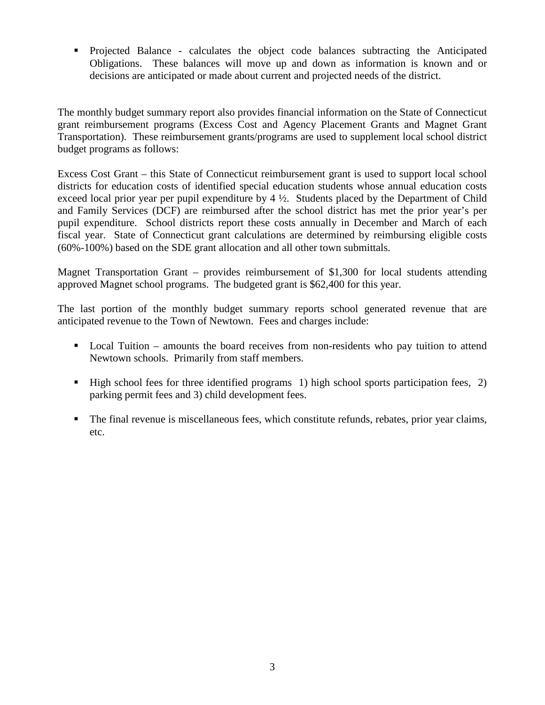Projected Balance - calculates the object code balances subtracting the Anticipated Obligations. These balances will move up and down as information is known and or decisions are anticipated or made about current and projected needs of the district.

The monthly budget summary report also provides financial information on the State of Connecticut grant reimbursement programs (Excess Cost and Agency Placement Grants and Magnet Grant Transportation). These reimbursement grants/programs are used to supplement local school district budget programs as follows:

Excess Cost Grant – this State of Connecticut reimbursement grant is used to support local school districts for education costs of identified special education students whose annual education costs exceed local prior year per pupil expenditure by 4 ½. Students placed by the Department of Child and Family Services (DCF) are reimbursed after the school district has met the prior year's per pupil expenditure. School districts report these costs annually in December and March of each fiscal year. State of Connecticut grant calculations are determined by reimbursing eligible costs (60%-100%) based on the SDE grant allocation and all other town submittals.

Magnet Transportation Grant – provides reimbursement of \$1,300 for local students attending approved Magnet school programs. The budgeted grant is \$62,400 for this year.

The last portion of the monthly budget summary reports school generated revenue that are anticipated revenue to the Town of Newtown. Fees and charges include:

- Local Tuition amounts the board receives from non-residents who pay tuition to attend Newtown schools. Primarily from staff members.
- $\blacksquare$  High school fees for three identified programs 1) high school sports participation fees, 2) parking permit fees and 3) child development fees.
- The final revenue is miscellaneous fees, which constitute refunds, rebates, prior year claims, etc.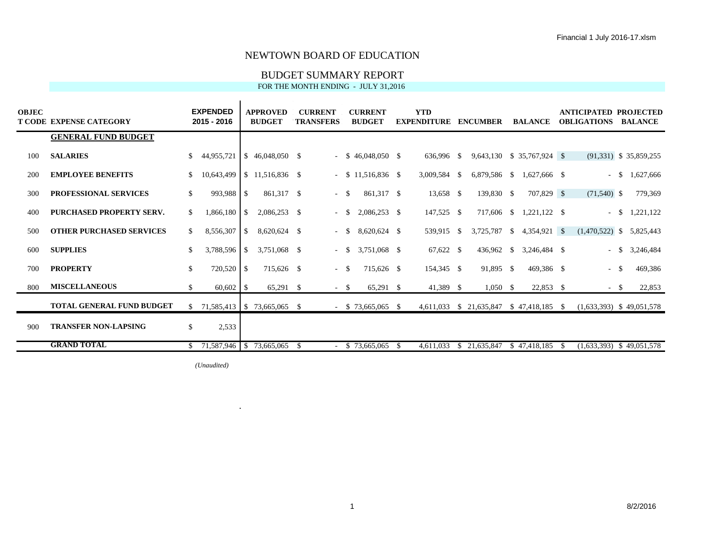## BUDGET SUMMARY REPORT

**Y T** FOR THE MONTH ENDING - JULY 31,2016

| <b>OBJEC</b> | T CODE EXPENSE CATEGORY          |     | <b>EXPENDED</b><br>2015 - 2016 |      | <b>APPROVED</b><br><b>BUDGET</b> |      | <b>CURRENT</b><br><b>TRANSFERS</b> |        | <b>CURRENT</b><br><b>BUDGET</b> |              | <b>YTD</b><br><b>EXPENDITURE</b> |      | <b>ENCUMBER</b>         |     | <b>BALANCE</b>             |      | ANTICIPATED PROJECTED<br><b>OBLIGATIONS</b> |      | <b>BALANCE</b>           |
|--------------|----------------------------------|-----|--------------------------------|------|----------------------------------|------|------------------------------------|--------|---------------------------------|--------------|----------------------------------|------|-------------------------|-----|----------------------------|------|---------------------------------------------|------|--------------------------|
|              | <b>GENERAL FUND BUDGET</b>       |     |                                |      |                                  |      |                                    |        |                                 |              |                                  |      |                         |     |                            |      |                                             |      |                          |
| 100          | <b>SALARIES</b>                  | \$  | 44,955,721                     |      | $$46,048,050$ \$                 |      |                                    |        | $-$ \$ 46,048,050 \$            |              | 636.996 \$                       |      |                         |     | 9,643,130 \$ 35,767,924 \$ |      |                                             |      | $(91,331)$ \$ 35,859,255 |
| 200          | <b>EMPLOYEE BENEFITS</b>         |     | 10,643,499                     |      | $$11,516,836$ \$                 |      | $\sim$                             |        | $$11,516,836$ \$                |              | 3,009,584                        | - \$ | 6,879,586 \$            |     | 1,627,666 \$               |      | $\sim$                                      | - \$ | 1,627,666                |
| 300          | <b>PROFESSIONAL SERVICES</b>     | \$. | 993,988 \$                     |      | 861,317 \$                       |      |                                    | $-$ \$ | 861,317 \$                      |              | 13,658 \$                        |      | 139,830 \$              |     | 707,829 \$                 |      | $(71,540)$ \$                               |      | 779,369                  |
| 400          | <b>PURCHASED PROPERTY SERV.</b>  | \$  | 1,866,180                      | S    | $2,086,253$ \$                   |      |                                    | $-$ \$ | $2,086,253$ \$                  |              | 147,525 \$                       |      | 717,606 \$              |     | 1,221,122 \$               |      | $-$ \$                                      |      | 1,221,122                |
| 500          | <b>OTHER PURCHASED SERVICES</b>  | \$  | 8,556,307                      | - \$ | 8,620,624 \$                     |      |                                    | $- S$  | 8,620,624 \$                    |              | 539,915                          | -S   | 3,725,787               | - S | 4,354,921 \$               |      | $(1,470,522)$ \$ 5,825,443                  |      |                          |
| 600          | <b>SUPPLIES</b>                  | \$. | 3,788,596                      | -\$  | 3,751,068 \$                     |      |                                    | $-$ \$ | 3,751,068 \$                    |              | $67,622$ \$                      |      | 436,962 \$              |     | 3,246,484 \$               |      | $\sim$                                      | -\$  | 3,246,484                |
| 700          | <b>PROPERTY</b>                  | \$  | 720,520                        | S    | 715,626 \$                       |      |                                    | $-$ \$ | 715.626 \$                      |              | 154,345 \$                       |      | 91,895 \$               |     | 469,386 \$                 |      | $\sim$                                      | -\$  | 469,386                  |
| 800          | <b>MISCELLANEOUS</b>             | S.  | 60,602                         | - \$ | $65,291$ \$                      |      |                                    | $- S$  | $65,291$ \$                     |              | 41,389 \$                        |      | $1,050$ \$              |     | $22,853$ \$                |      | $- S$                                       |      | 22,853                   |
|              | <b>TOTAL GENERAL FUND BUDGET</b> | \$  | 71,585,413   \$73,665,065 \$   |      |                                  |      |                                    |        | $-$ \$ 73,665,065 \$            |              |                                  |      | 4,611,033 \$ 21,635,847 |     | $$47,418,185$ \$           |      | $(1,633,393)$ \$ 49,051,578                 |      |                          |
| 900          | <b>TRANSFER NON-LAPSING</b>      | \$  | 2,533                          |      |                                  |      |                                    |        |                                 |              |                                  |      |                         |     |                            |      |                                             |      |                          |
|              | <b>GRAND TOTAL</b>               |     | $$71,587,946$ $$73,665,065$    |      |                                  | - \$ |                                    |        | \$73,665,065                    | $\mathbf{s}$ | 4.611.033                        | -SS  | 21,635,847              |     | \$47,418,185               | - \$ | $(1,633,393)$ \$ 49,051,578                 |      |                          |

*(Unaudited)*

ä,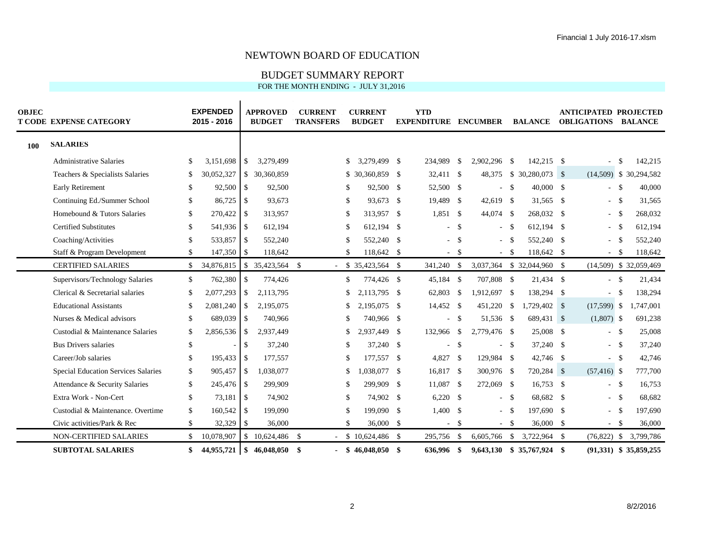## BUDGET SUMMARY REPORT

| <b>OBJEC</b> | <b>T CODE EXPENSE CATEGORY</b>      |                | <b>EXPENDED</b><br>2015 - 2016 |                | <b>APPROVED</b><br><b>BUDGET</b> |      | <b>CURRENT</b><br><b>TRANSFERS</b> |     | <b>CURRENT</b><br><b>BUDGET</b> | <b>YTD</b><br><b>EXPENDITURE ENCUMBER</b> |            |              |      | <b>BALANCE</b>             | <b>ANTICIPATED PROJECTED</b><br><b>OBLIGATIONS BALANCE</b> |      |                          |
|--------------|-------------------------------------|----------------|--------------------------------|----------------|----------------------------------|------|------------------------------------|-----|---------------------------------|-------------------------------------------|------------|--------------|------|----------------------------|------------------------------------------------------------|------|--------------------------|
| 100          | <b>SALARIES</b>                     |                |                                |                |                                  |      |                                    |     |                                 |                                           |            |              |      |                            |                                                            |      |                          |
|              | <b>Administrative Salaries</b>      | S.             | 3,151,698                      | $\mathbb{S}$   | 3,279,499                        |      |                                    | \$  | 3,279,499 \$                    | 234,989                                   | - \$       | 2,902,296 \$ |      | 142,215 \$                 | $\sim$                                                     | -\$  | 142,215                  |
|              | Teachers & Specialists Salaries     | \$             | 30,052,327                     |                | \$ 30,360,859                    |      |                                    |     | $$30,360,859$ \$                | 32,411 \$                                 |            | 48,375       |      |                            |                                                            |      | $(14,509)$ \$ 30,294,582 |
|              | <b>Early Retirement</b>             | \$             | $92,500$ \$                    |                | 92,500                           |      |                                    | \$  | 92,500 \$                       | 52,500 \$                                 |            |              | - \$ | $40,000$ \$                | $-$ \$                                                     |      | 40,000                   |
|              | Continuing Ed./Summer School        | \$             | 86,725                         | $\vert$ \$     | 93,673                           |      |                                    | \$  | 93,673 \$                       | 19,489 \$                                 |            | 42,619 \$    |      | 31,565 \$                  | $\sim$                                                     | - \$ | 31,565                   |
|              | Homebound & Tutors Salaries         | \$             |                                |                | 313,957                          |      |                                    | \$  | 313,957 \$                      | $1,851$ \$                                |            | 44,074 \$    |      | 268,032 \$                 | - \$                                                       |      | 268,032                  |
|              | <b>Certified Substitutes</b>        | \$             | 541,936 \$                     |                | 612,194                          |      |                                    | \$  | 612,194 \$                      |                                           | $-$ \$     | $-$ \$       |      | 612,194 \$                 | $\sim$                                                     | - \$ | 612,194                  |
|              | Coaching/Activities                 | \$             | 533,857 \$                     |                | 552,240                          |      |                                    | \$  | 552,240 \$                      |                                           | - \$       | - \$         |      | 552,240 \$                 |                                                            |      | 552,240                  |
|              | Staff & Program Development         | \$             | 147,350 \$                     |                | 118,642                          |      |                                    | \$  | 118,642 \$                      |                                           | $-$ \$     | $-5$         |      | 118,642 \$                 | $- S$                                                      |      | 118,642                  |
|              | <b>CERTIFIED SALARIES</b>           | $\mathbb{S}^-$ | 34,876,815                     |                | $$35,423,564$ \;                 |      |                                    |     | $$35,423,564$ \ \$              | 341,240 \$                                |            |              |      | 3,037,364 \$ 32,044,960 \$ |                                                            |      | $(14,509)$ \$ 32,059,469 |
|              | Supervisors/Technology Salaries     | \$             | 762,380                        | \$             | 774,426                          |      |                                    | \$  | 774,426 \$                      | 45,184 \$                                 |            | 707,808 \$   |      | 21,434 \$                  | $-$ \$                                                     |      | 21,434                   |
|              | Clerical & Secretarial salaries     | \$             | 2,077,293                      | <sup>\$</sup>  | 2,113,795                        |      |                                    | \$  | 2,113,795 \$                    | 62,803 \$                                 |            | 1,912,697 \$ |      | 138,294 \$                 |                                                            | -\$  | 138,294                  |
|              | <b>Educational Assistants</b>       | \$             | 2,081,240                      | \$             | 2,195,075                        |      |                                    | \$  | 2,195,075 \$                    | 14,452 \$                                 |            | 451,220 \$   |      | 1,729,402 \$               | $(17,599)$ \$                                              |      | 1,747,001                |
|              | Nurses & Medical advisors           | \$             | 689,039 \$                     |                | 740,966                          |      |                                    | \$  | 740,966 \$                      |                                           | $-$ \$     | 51,536 \$    |      | 689,431 \$                 | $(1,807)$ \$                                               |      | 691,238                  |
|              | Custodial & Maintenance Salaries    | \$             | 2,856,536                      | $\mathbb{S}$   | 2,937,449                        |      |                                    | \$  | 2,937,449 \$                    | 132,966                                   | $^{\circ}$ | 2,779,476 \$ |      | 25,008 \$                  | $-$ \$                                                     |      | 25,008                   |
|              | <b>Bus Drivers salaries</b>         | \$             |                                | \$             | 37,240                           |      |                                    | \$  | 37,240 \$                       |                                           | - \$       |              | - \$ | 37,240 \$                  | $- S$                                                      |      | 37,240                   |
|              | Career/Job salaries                 | \$             | 195,433 \$                     |                | 177,557                          |      |                                    | \$  | 177,557 \$                      | 4,827 \$                                  |            | 129,984 \$   |      | 42,746 \$                  | $-$ \$                                                     |      | 42,746                   |
|              | Special Education Services Salaries | \$             | $905,457$ \$                   |                | 1,038,077                        |      |                                    | \$  | 1,038,077 \$                    | 16,817 \$                                 |            | 300,976 \$   |      | 720,284 \$                 | $(57, 416)$ \$                                             |      | 777,700                  |
|              | Attendance & Security Salaries      | \$             | 245,476 \$                     |                | 299,909                          |      |                                    | \$  | 299,909 \$                      | 11,087 \$                                 |            | 272,069 \$   |      | $16,753$ \$                | $-5$                                                       |      | 16,753                   |
|              | Extra Work - Non-Cert               | \$             | 73,181                         | $\overline{1}$ | 74,902                           |      |                                    | \$  | 74,902 \$                       | $6,220$ \$                                |            | $-$ \$       |      | 68,682 \$                  | $-$ \$                                                     |      | 68,682                   |
|              | Custodial & Maintenance. Overtime   | \$             | 160,542 \$                     |                | 199,090                          |      |                                    | \$  | 199,090 \$                      | 1,400S                                    |            | $-5$         |      | 197,690 \$                 | $\sim$                                                     | - \$ | 197,690                  |
|              | Civic activities/Park & Rec         | \$             | 32,329                         | <sup>\$</sup>  | 36,000                           |      |                                    | \$  | $36,000$ \$                     |                                           | $-$ \$     | $-5$         |      | $36,000$ \$                | $-5$                                                       |      | 36,000                   |
|              | NON-CERTIFIED SALARIES              | \$             | 10,078,907                     | \$             | 10,624,486 \$                    |      |                                    |     | $$10,624,486$ \;                | 295,756                                   | - \$       | 6,605,766    |      | $$3,722,964$ \;            |                                                            |      | $(76,822)$ \$ 3,799,786  |
|              | <b>SUBTOTAL SALARIES</b>            | \$             | 44,955,721                     | \$             | 46,048,050                       | - \$ |                                    | -SS | 46,048,050 \$                   | 636,996 \$                                |            |              |      | 9,643,130 \$ 35,767,924 \$ |                                                            |      | $(91,331)$ \$ 35,859,255 |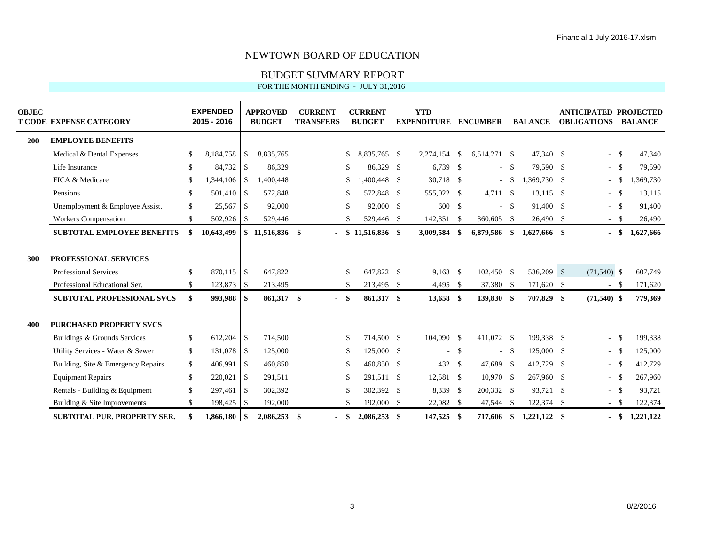## BUDGET SUMMARY REPORT

| <b>OBJEC</b> | <b>T CODE EXPENSE CATEGORY</b>     | <b>EXPENDED</b><br>2015 - 2016 |                          | <b>APPROVED</b><br><b>BUDGET</b> |     | <b>CURRENT</b><br><b>TRANSFERS</b> |      | <b>CURRENT</b><br><b>BUDGET</b> | <b>YTD</b><br><b>EXPENDITURE</b> |              | <b>ENCUMBER</b> |      | <b>BALANCE</b> | <b>ANTICIPATED PROJECTED</b><br><b>OBLIGATIONS</b> |      | <b>BALANCE</b> |
|--------------|------------------------------------|--------------------------------|--------------------------|----------------------------------|-----|------------------------------------|------|---------------------------------|----------------------------------|--------------|-----------------|------|----------------|----------------------------------------------------|------|----------------|
| 200          | <b>EMPLOYEE BENEFITS</b>           |                                |                          |                                  |     |                                    |      |                                 |                                  |              |                 |      |                |                                                    |      |                |
|              | Medical & Dental Expenses          | \$<br>8,184,758                | <sup>\$</sup>            | 8.835.765                        |     |                                    | \$   | 8.835.765 \$                    | 2,274,154                        | - \$         | 6.514.271 \$    |      | 47,340 \$      | $\sim$                                             | -\$  | 47,340         |
|              | Life Insurance                     | \$                             |                          | 86,329                           |     |                                    | \$   | 86,329 \$                       | $6,739$ \$                       |              |                 | $-5$ | 79,590 \$      | $\sim$                                             | - \$ | 79,590         |
|              | FICA & Medicare                    | \$<br>$1,344,106$ \$           |                          | 1,400,448                        |     |                                    | \$   | 1.400.448 \$                    | 30,718 \$                        |              |                 | $-5$ | 1,369,730 \$   | $\sim$                                             | -S   | ,369,730       |
|              | Pensions                           | \$<br>501,410 \$               |                          | 572,848                          |     |                                    | \$   | 572,848 \$                      | 555,022 \$                       |              | $4,711$ \$      |      | $13,115$ \$    | $-$ \$                                             |      | 13,115         |
|              | Unemployment & Employee Assist.    | \$<br>25,567                   | $\overline{1}$           | 92,000                           |     |                                    | \$   | 92,000 \$                       | 600 \$                           |              |                 | - \$ | 91,400 \$      | $-$ \$                                             |      | 91,400         |
|              | Workers Compensation               | \$<br>502,926 \$               |                          | 529,446                          |     |                                    | \$   | 529,446 \$                      | 142,351 \$                       |              | 360,605         | - \$ | 26,490 \$      | $-$ \$                                             |      | 26,490         |
|              | <b>SUBTOTAL EMPLOYEE BENEFITS</b>  | 10,643,499                     |                          | $$11,516,836$ \$                 |     |                                    | - \$ | 11,516,836 \$                   | 3,009,584                        | - \$         | 6,879,586 \$    |      | 1,627,666 \$   | $\sim$                                             | - \$ | 1,627,666      |
| 300          | PROFESSIONAL SERVICES              |                                |                          |                                  |     |                                    |      |                                 |                                  |              |                 |      |                |                                                    |      |                |
|              | <b>Professional Services</b>       | \$                             |                          | 647,822                          |     |                                    | \$   | 647,822 \$                      | $9.163$ \$                       |              | 102,450 \$      |      | 536,209 \$     | $(71,540)$ \$                                      |      | 607,749        |
|              | Professional Educational Ser.      | \$<br>123,873 \$               |                          | 213,495                          |     |                                    | \$   | 213,495 \$                      | $4,495$ \$                       |              | 37,380          | - \$ | 171,620 \$     | $-$ \$                                             |      | 171,620        |
|              | <b>SUBTOTAL PROFESSIONAL SVCS</b>  | \$<br>993,988 \$               |                          | 861,317 \$                       |     | - \$                               |      | 861,317 \$                      | 13,658 \$                        |              | 139,830 \$      |      | 707,829 \$     | $(71,540)$ \$                                      |      | 779,369        |
| 400          | <b>PURCHASED PROPERTY SVCS</b>     |                                |                          |                                  |     |                                    |      |                                 |                                  |              |                 |      |                |                                                    |      |                |
|              | Buildings & Grounds Services       | \$<br>$612,204$ \$             |                          | 714,500                          |     |                                    | \$   | 714,500 \$                      | 104,090 \$                       |              | 411,072 \$      |      | 199.338 \$     | $\sim$                                             | -\$  | 199,338        |
|              | Utility Services - Water & Sewer   | \$<br>131,078 \$               |                          | 125,000                          |     |                                    | \$   | 125,000 \$                      | $\sim$                           | - \$         |                 | $-5$ | 125,000 \$     | $-$ \$                                             |      | 125,000        |
|              | Building, Site & Emergency Repairs | \$<br>406,991                  | $\vert$ \$               | 460,850                          |     |                                    | \$   | 460,850 \$                      | 432 \$                           |              | 47,689 \$       |      | 412,729 \$     | $\sim$ .                                           | - \$ | 412,729        |
|              | <b>Equipment Repairs</b>           | \$<br>220,021                  | $\overline{\phantom{a}}$ | 291.511                          |     |                                    | \$   | 291.511 \$                      | 12,581 \$                        |              | 10.970S         |      | 267,960 \$     | $\sim$                                             | - \$ | 267,960        |
|              | Rentals - Building & Equipment     | \$<br>297,461                  | $\vert$ \$               | 302,392                          |     |                                    | \$   | 302,392 \$                      | 8,339 \$                         |              | 200,332 \$      |      | 93,721 \$      | $\sim$                                             | - \$ | 93,721         |
|              | Building & Site Improvements       | \$<br>198,425                  | $\overline{1}$           | 192,000                          |     |                                    | \$   | 192,000 \$                      | 22,082                           | $\mathbf{s}$ | 47,544          | - \$ | 122,374 \$     | $\sim$                                             | - \$ | 122,374        |
|              | <b>SUBTOTAL PUR. PROPERTY SER.</b> | \$<br>1,866,180                | - \$                     | 2,086,253                        | -\$ |                                    | - \$ | $2,086,253$ \$                  | 147,525 \$                       |              | 717.606         | \$   | $1,221,122$ \$ |                                                    | -S   | 1,221,122      |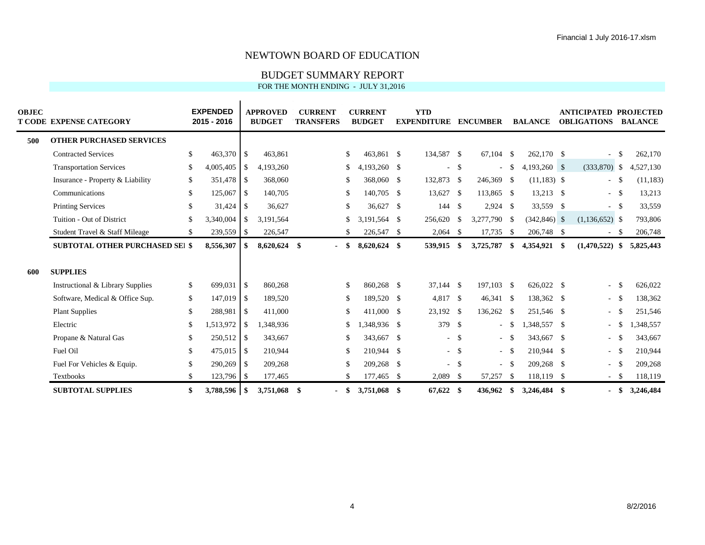## BUDGET SUMMARY REPORT

| <b>OBJEC</b> | <b>T CODE EXPENSE CATEGORY</b>         |     | <b>EXPENDED</b><br>2015 - 2016 |                | <b>APPROVED</b><br><b>BUDGET</b> | <b>CURRENT</b><br><b>TRANSFERS</b> |      | <b>CURRENT</b><br><b>BUDGET</b> | <b>YTD</b><br><b>EXPENDITURE</b> |        | <b>ENCUMBER</b> |        | <b>BALANCE</b>  | ANTICIPATED PROJECTED<br><b>OBLIGATIONS</b> |      | <b>BALANCE</b> |
|--------------|----------------------------------------|-----|--------------------------------|----------------|----------------------------------|------------------------------------|------|---------------------------------|----------------------------------|--------|-----------------|--------|-----------------|---------------------------------------------|------|----------------|
| 500          | <b>OTHER PURCHASED SERVICES</b>        |     |                                |                |                                  |                                    |      |                                 |                                  |        |                 |        |                 |                                             |      |                |
|              | <b>Contracted Services</b>             | \$  | 463,370 \$                     |                | 463,861                          |                                    | \$   | 463.861 \$                      | 134,587 \$                       |        | 67.104 \$       |        | 262,170 \$      | $\sim$                                      | -\$  | 262,170        |
|              | <b>Transportation Services</b>         | \$  | 4,005,405                      | <sup>\$</sup>  | 4,193,260                        |                                    | \$   | 4,193,260 \$                    |                                  | $-$ \$ |                 | $-$ \$ | $4,193,260$ \$  | $(333,870)$ \$                              |      | 4,527,130      |
|              | Insurance - Property & Liability       | \$  | 351,478                        | - \$           | 368,060                          |                                    | \$   | 368,060 \$                      | 132,873 \$                       |        | 246,369 \$      |        | $(11,183)$ \$   | $\sim$                                      |      | (11, 183)      |
|              | Communications                         | \$  | 125,067                        | $\vert$ \$     | 140,705                          |                                    | \$   | 140,705 \$                      | 13,627 \$                        |        | 113,865 \$      |        | 13,213 \$       | $-$ \$                                      |      | 13,213         |
|              | <b>Printing Services</b>               | \$  |                                |                | 36,627                           |                                    | \$   | 36,627 \$                       | 144S                             |        | $2,924$ \$      |        | 33,559 \$       | $\sim$                                      | - \$ | 33,559         |
|              | Tuition - Out of District              | \$. | 3,340,004                      | <sup>\$</sup>  | 3,191,564                        |                                    | \$   | 3,191,564 \$                    | 256,620                          | \$     | 3,277,790 \$    |        | $(342, 846)$ \$ | $(1,136,652)$ \$                            |      | 793,806        |
|              | Student Travel & Staff Mileage         | S.  | 239,559 \$                     |                | 226,547                          |                                    | \$   | 226,547 \$                      | $2,064$ \$                       |        | $17,735$ \$     |        | 206,748 \$      | $\sim$                                      | - \$ | 206,748        |
|              | <b>SUBTOTAL OTHER PURCHASED SEI \$</b> |     | 8,556,307                      | -S             | 8,620,624 \$                     |                                    |      | $8,620,624$ \$                  | 539,915                          | \$     | 3,725,787       | \$     | 4,354,921 \$    | (1,470,522)                                 | -\$  | 5,825,443      |
| -600         | <b>SUPPLIES</b>                        |     |                                |                |                                  |                                    |      |                                 |                                  |        |                 |        |                 |                                             |      |                |
|              | Instructional & Library Supplies       | \$  | 699,031                        | $\overline{1}$ | 860,268                          |                                    | \$   | 860.268 \$                      | $37,144$ \$                      |        | 197,103 \$      |        | 626,022 \$      | $\sim$                                      | -\$  | 626,022        |
|              | Software, Medical & Office Sup.        | \$  | 147,019 \$                     |                | 189,520                          |                                    | \$   | 189,520 \$                      | 4,817 \$                         |        | 46,341 \$       |        | 138,362 \$      | $-5$                                        |      | 138,362        |
|              | <b>Plant Supplies</b>                  | \$  | 288,981                        | $\vert$ \$     | 411,000                          |                                    | \$   | 411,000 \$                      | 23,192 \$                        |        | 136,262 \$      |        | 251,546 \$      | $\sim$                                      |      | 251,546        |
|              | Electric                               | \$. | 1,513,972                      | <sup>S</sup>   | 1,348,936                        |                                    | \$   | 1,348,936 \$                    | 379 \$                           |        |                 | $-$ \$ | 1,348,557 \$    | $\sim$                                      |      | 1,348,557      |
|              | Propane & Natural Gas                  | \$  | $250,512$ \$                   |                | 343,667                          |                                    | \$   | 343,667 \$                      |                                  | $-$ \$ |                 | $-$ \$ | 343,667 \$      | $\sim$                                      |      | 343,667        |
|              | Fuel Oil                               | \$  | $475,015$ \\$                  |                | 210,944                          |                                    | \$   | 210,944 \$                      |                                  | $-$ \$ |                 | $-$ \$ | 210,944 \$      | $\sim$                                      | - \$ | 210,944        |
|              | Fuel For Vehicles & Equip.             | \$  | 290,269 \$                     |                | 209,268                          |                                    | \$   | 209,268 \$                      |                                  | $-$ \$ |                 | $-$ \$ | 209,268 \$      | $\sim$                                      |      | 209,268        |
|              | Textbooks                              | \$  | $123,796$ \$                   |                | 177,465                          |                                    | \$   | 177,465 \$                      | 2,089                            | - \$   | 57,257          | -S     | 118,119 \$      | $\sim$                                      | - \$ | 118,119        |
|              | <b>SUBTOTAL SUPPLIES</b>               | \$  |                                |                | 3,751,068                        | - \$                               | - \$ | 3,751,068 \$                    | $67,622$ \$                      |        | 436.962         | S.     | 3,246,484 \$    | $\sim$                                      | - \$ | 3,246,484      |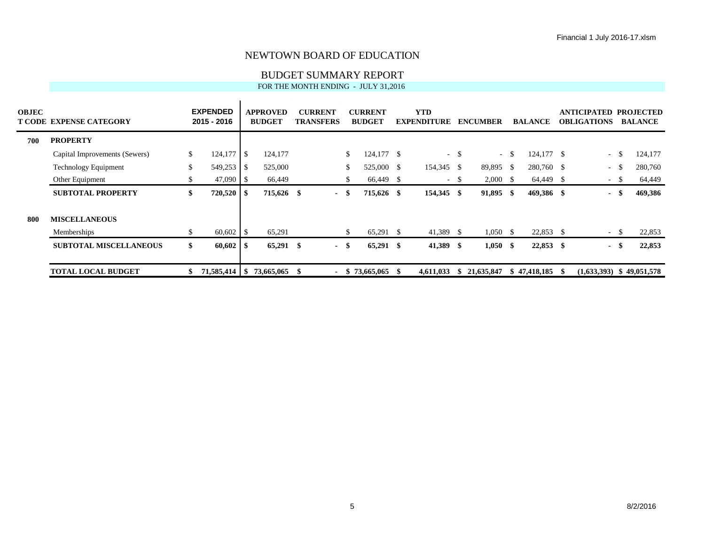## BUDGET SUMMARY REPORT

| <b>OBJEC</b> | T CODE EXPENSE CATEGORY       |    | <b>EXPENDED</b><br>2015 - 2016 |      | <b>APPROVED</b><br><b>BUDGET</b> |     | <b>CURRENT</b><br><b>TRANSFERS</b> |      | <b>CURRENT</b><br><b>BUDGET</b> | <b>YTD</b><br><b>EXPENDITURE</b> |        | <b>ENCUMBER</b>  |        | <b>BALANCE</b> | <b>ANTICIPATED</b><br><b>OBLIGATIONS</b> | <b>PROJECTED</b><br><b>BALANCE</b> |
|--------------|-------------------------------|----|--------------------------------|------|----------------------------------|-----|------------------------------------|------|---------------------------------|----------------------------------|--------|------------------|--------|----------------|------------------------------------------|------------------------------------|
| 700          | <b>PROPERTY</b>               |    |                                |      |                                  |     |                                    |      |                                 |                                  |        |                  |        |                |                                          |                                    |
|              | Capital Improvements (Sewers) | \$ | 124,177                        | -\$  | 124,177                          |     |                                    | \$   | $124,177$ \$                    |                                  | $-$ \$ |                  | $-$ \$ | $124,177$ \$   | $\sim$                                   | 124,177                            |
|              | <b>Technology Equipment</b>   | \$ | 549,253                        | -S   | 525,000                          |     |                                    |      | 525,000 \$                      | 154,345 \$                       |        | 89,895 \$        |        | 280,760 \$     | $\sim$                                   | 280,760                            |
|              | Other Equipment               | \$ | 47,090                         | - S  | 66,449                           |     |                                    | \$   | 66,449 \$                       |                                  | $-$ \$ | $2,000 \quad$ \$ |        | 64,449 \$      | $\sim$                                   | 64,449                             |
|              | <b>SUBTOTAL PROPERTY</b>      | \$ | 720,520                        | - SS | 715,626 \$                       |     | - \$                               |      | 715,626 \$                      | 154,345 \$                       |        | 91,895           | - \$   | 469,386 \$     | $\sim$                                   | 469,386                            |
| 800          | <b>MISCELLANEOUS</b>          |    |                                |      |                                  |     |                                    |      |                                 |                                  |        |                  |        |                |                                          |                                    |
|              | Memberships                   | S. | 60,602                         | - \$ | 65,291                           |     |                                    |      | 65,291 \$                       | 41,389 \$                        |        | $1,050 \quad$ \$ |        | $22,853$ \$    | $\sim$                                   | 22,853                             |
|              | <b>SUBTOTAL MISCELLANEOUS</b> | \$ | 60,602                         | - 56 | $65,291$ \$                      |     | - \$                               |      | $65,291$ \$                     | 41,389 \$                        |        | $1,050$ \$       |        | 22,853 \$      | $\sim$                                   | 22,853                             |
|              | <b>TOTAL LOCAL BUDGET</b>     |    |                                |      | 73,665,065                       | -SS | $\sim$                             | - \$ | 73,665,065                      | 4,611,033                        | ъ.     | 21,635,847       |        | \$47,418,185   | $(1,633,393)$ \$ 49,051,578              |                                    |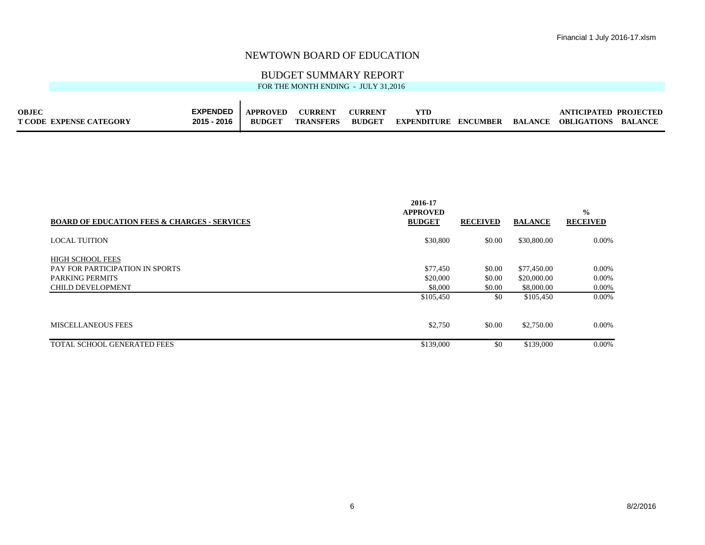## BUDGET SUMMARY REPORT

| <b>OBJEC</b>                   | <b>EXPENDED</b> | <b>APPROVED</b> | <b>CURRENT</b>   | <b>CURRENT</b> | YTD         |          | ANTICIPATED PROJECTED       |  |
|--------------------------------|-----------------|-----------------|------------------|----------------|-------------|----------|-----------------------------|--|
| <b>T CODE EXPENSE CATEGORY</b> | 2015 - 2016     | <b>BUDGET</b>   | <b>TRANSFERS</b> | <b>BUDGET</b>  | EXPENDITURE | ENCUMBER | BALANCE OBLIGATIONS BALANCE |  |

| <b>BOARD OF EDUCATION FEES &amp; CHARGES - SERVICES</b> | 2016-17<br><b>APPROVED</b><br><b>BUDGET</b> | <b>RECEIVED</b> | <b>BALANCE</b> | $\frac{0}{0}$<br><b>RECEIVED</b> |
|---------------------------------------------------------|---------------------------------------------|-----------------|----------------|----------------------------------|
| <b>LOCAL TUITION</b>                                    | \$30,800                                    | \$0.00          | \$30,800.00    | $0.00\%$                         |
| <b>HIGH SCHOOL FEES</b>                                 |                                             |                 |                |                                  |
| PAY FOR PARTICIPATION IN SPORTS                         | \$77,450                                    | \$0.00          | \$77,450.00    | $0.00\%$                         |
| <b>PARKING PERMITS</b>                                  | \$20,000                                    | \$0.00          | \$20,000.00    | $0.00\%$                         |
| <b>CHILD DEVELOPMENT</b>                                | \$8,000                                     | \$0.00          | \$8,000.00     | $0.00\%$                         |
|                                                         | \$105,450                                   | \$0             | \$105,450      | $0.00\%$                         |
| MISCELLANEOUS FEES                                      | \$2,750                                     | \$0.00          | \$2,750.00     | $0.00\%$                         |
| TOTAL SCHOOL GENERATED FEES                             | \$139,000                                   | \$0             | \$139,000      | $0.00\%$                         |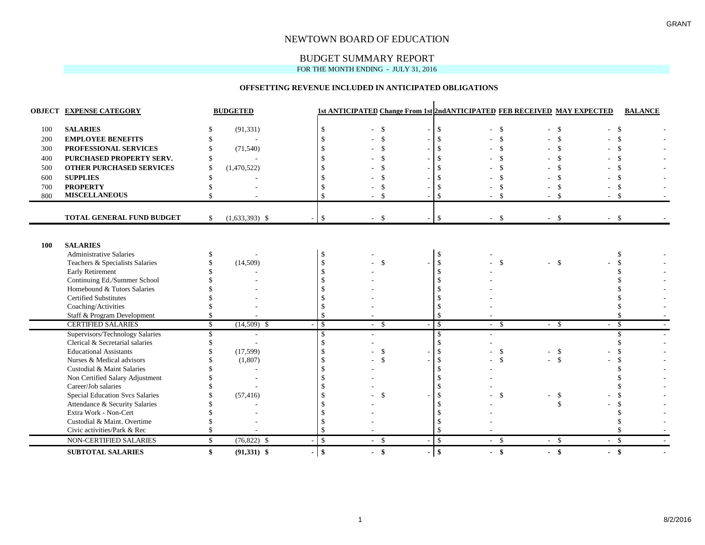## BUDGET SUMMARY REPORT

FOR THE MONTH ENDING - JULY 31, 2016

#### **OFFSETTING REVENUE INCLUDED IN ANTICIPATED OBLIGATIONS**

|     | <b>OBJECT EXPENSE CATEGORY</b>         |              | <b>BUDGETED</b>  |                      |               |                                | 1st ANTICIPATED Change From 1st 2nd ANTICIPATED FEB RECEIVED MAY EXPECTED |                    |               | <b>BALANCE</b> |
|-----|----------------------------------------|--------------|------------------|----------------------|---------------|--------------------------------|---------------------------------------------------------------------------|--------------------|---------------|----------------|
| 100 | <b>SALARIES</b>                        |              | (91, 331)        | $\mathbf{\hat{S}}$   | $\mathcal{S}$ | \$<br>$\overline{\phantom{a}}$ | -\$                                                                       | $-5$               | - \$          |                |
| 200 | <b>EMPLOYEE BENEFITS</b>               |              |                  | $\mathcal{S}$        |               |                                | $\mathcal{S}$                                                             | $\mathbf{\hat{S}}$ | $\mathcal{S}$ |                |
| 300 | PROFESSIONAL SERVICES                  |              | (71, 540)        |                      |               |                                |                                                                           | <sup>\$</sup>      | \$.           |                |
| 400 | PURCHASED PROPERTY SERV.               |              |                  |                      |               |                                |                                                                           |                    | \$            |                |
| 500 | OTHER PURCHASED SERVICES               | \$           | (1,470,522)      |                      |               |                                |                                                                           |                    |               |                |
| 600 | <b>SUPPLIES</b>                        |              |                  |                      |               |                                |                                                                           |                    |               |                |
| 700 | <b>PROPERTY</b>                        |              |                  |                      |               |                                |                                                                           | \$.                | \$.           |                |
| 800 | <b>MISCELLANEOUS</b>                   | \$           |                  | $\mathcal{S}$        | $\mathcal{S}$ | $\mathbf{\hat{S}}$             |                                                                           | $-5$               | $-5$          |                |
|     |                                        |              |                  |                      |               |                                |                                                                           |                    |               |                |
|     | <b>TOTAL GENERAL FUND BUDGET</b>       | $\mathbb{S}$ | $(1,633,393)$ \$ | $\mathcal{S}$        | -\$           | -\$                            | $-5$                                                                      | $-$ \$             | $-$ \$        |                |
|     |                                        |              |                  |                      |               |                                |                                                                           |                    |               |                |
|     |                                        |              |                  |                      |               |                                |                                                                           |                    |               |                |
| 100 | <b>SALARIES</b>                        |              |                  |                      |               |                                |                                                                           |                    |               |                |
|     | <b>Administrative Salaries</b>         |              |                  | -S                   |               | \$                             |                                                                           |                    | S.            |                |
|     | Teachers & Specialists Salaries        |              | (14,509)         | $\mathbf S$          | $\mathcal{S}$ | \$                             | $\mathcal{S}$                                                             | $-$ \$             |               |                |
|     | <b>Early Retirement</b>                |              |                  | $\mathcal{S}$        |               | \$                             |                                                                           |                    |               |                |
|     | Continuing Ed./Summer School           |              |                  |                      |               |                                |                                                                           |                    |               |                |
|     | Homebound & Tutors Salaries            |              |                  |                      |               |                                |                                                                           |                    |               |                |
|     | <b>Certified Substitutes</b>           |              |                  |                      |               |                                |                                                                           |                    |               |                |
|     | Coaching/Activities                    |              |                  |                      |               |                                |                                                                           |                    |               |                |
|     | Staff & Program Development            | \$           |                  | $\mathcal{S}$        |               |                                |                                                                           |                    |               |                |
|     | <b>CERTIFIED SALARIES</b>              | S.           | $(14,509)$ \$    | $\mathcal{S}$        | $-5$          | \$                             | $-$ \$                                                                    | $-$ \$             | - \$          |                |
|     | Supervisors/Technology Salaries        | S.           |                  | $\mathbf{\hat{S}}$   |               | \$.                            |                                                                           |                    |               |                |
|     | Clerical & Secretarial salaries        |              |                  | $\mathcal{S}$        |               | $\mathcal{S}$                  |                                                                           |                    |               |                |
|     | <b>Educational Assistants</b>          |              | (17, 599)        |                      | $\mathcal{S}$ | \$                             | $\mathcal{S}$                                                             | $-5$               |               |                |
|     | Nurses & Medical advisors              |              | (1,807)          |                      |               | $\mathcal{S}$                  | $\mathcal{S}$                                                             | $-$ \$             |               |                |
|     | Custodial & Maint Salaries             |              |                  |                      |               |                                |                                                                           |                    |               |                |
|     | Non Certified Salary Adjustment        |              |                  |                      |               |                                |                                                                           |                    |               |                |
|     | Career/Job salaries                    |              |                  |                      |               |                                |                                                                           |                    |               |                |
|     | <b>Special Education Svcs Salaries</b> |              | (57, 416)        |                      | -S            | -\$                            | $\mathcal{S}$                                                             | \$                 |               |                |
|     | Attendance & Security Salaries         |              |                  |                      |               |                                |                                                                           | \$                 |               |                |
|     | Extra Work - Non-Cert                  |              |                  |                      |               |                                |                                                                           |                    |               |                |
|     | Custodial & Maint. Overtime            |              |                  |                      |               |                                |                                                                           |                    |               |                |
|     | Civic activities/Park & Rec            |              |                  | $\mathbf{\hat{S}}$   |               | \$.                            |                                                                           |                    |               |                |
|     | NON-CERTIFIED SALARIES                 | \$           | $(76,822)$ \$    | $\mathcal{S}$        | $-5$          | $\mathbf{\hat{S}}$             | $-5$                                                                      | $-5$               | $-$ \$        |                |
|     | <b>SUBTOTAL SALARIES</b>               | \$           | $(91,331)$ \$    | \$<br>$\blacksquare$ | $-$ \$        | $\mathbf{\$}$                  | $-$ \$                                                                    | $-$ \$             | $-$ \$        |                |